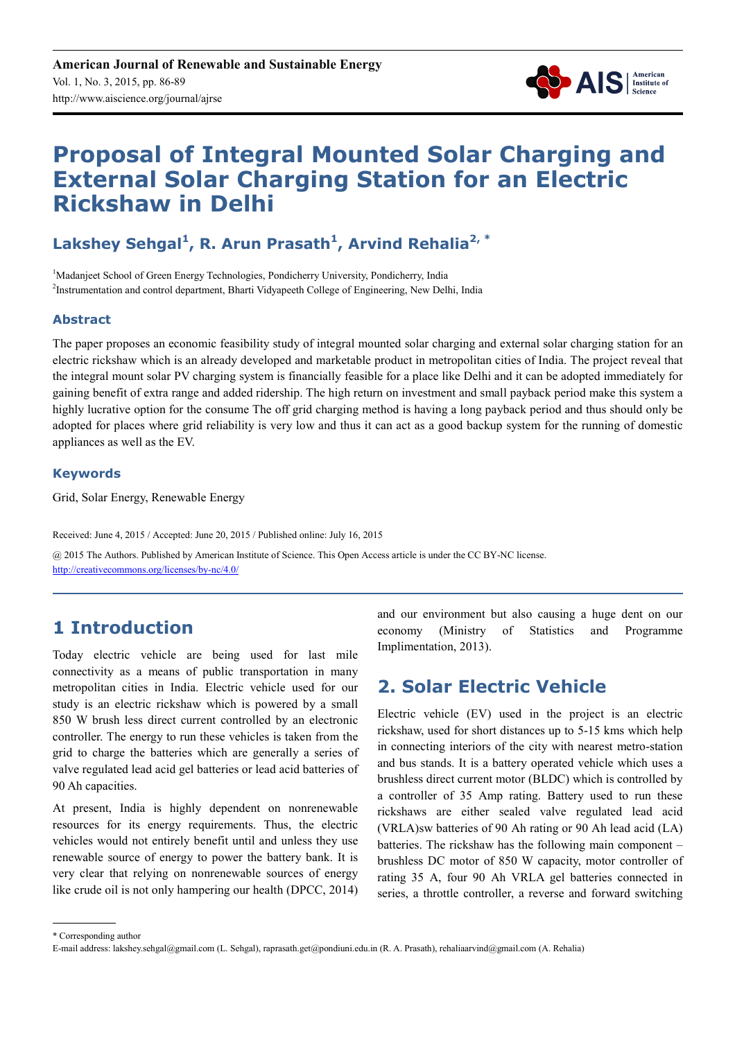

# **Proposal of Integral Mounted Solar Charging and External Solar Charging Station for an Electric Rickshaw in Delhi**

# Lakshey Sehgal<sup>1</sup>, R. Arun Prasath<sup>1</sup>, Arvind Rehalia<sup>2,\*</sup>

<sup>1</sup>Madanjeet School of Green Energy Technologies, Pondicherry University, Pondicherry, India <sup>2</sup>Instrumentation and control department, Bharti Vidyapeeth College of Engineering, New Delhi, India

#### **Abstract**

The paper proposes an economic feasibility study of integral mounted solar charging and external solar charging station for an electric rickshaw which is an already developed and marketable product in metropolitan cities of India. The project reveal that the integral mount solar PV charging system is financially feasible for a place like Delhi and it can be adopted immediately for gaining benefit of extra range and added ridership. The high return on investment and small payback period make this system a highly lucrative option for the consume The off grid charging method is having a long payback period and thus should only be adopted for places where grid reliability is very low and thus it can act as a good backup system for the running of domestic appliances as well as the EV.

#### **Keywords**

Grid, Solar Energy, Renewable Energy

Received: June 4, 2015 / Accepted: June 20, 2015 / Published online: July 16, 2015 @ 2015 The Authors. Published by American Institute of Science. This Open Access article is under the CC BY-NC license. http://creativecommons.org/licenses/by-nc/4.0/

# **1 Introduction**

Today electric vehicle are being used for last mile connectivity as a means of public transportation in many metropolitan cities in India. Electric vehicle used for our study is an electric rickshaw which is powered by a small 850 W brush less direct current controlled by an electronic controller. The energy to run these vehicles is taken from the grid to charge the batteries which are generally a series of valve regulated lead acid gel batteries or lead acid batteries of 90 Ah capacities.

At present, India is highly dependent on nonrenewable resources for its energy requirements. Thus, the electric vehicles would not entirely benefit until and unless they use renewable source of energy to power the battery bank. It is very clear that relying on nonrenewable sources of energy like crude oil is not only hampering our health (DPCC, 2014) and our environment but also causing a huge dent on our economy (Ministry of Statistics and Programme Implimentation, 2013).

# **2. Solar Electric Vehicle**

Electric vehicle (EV) used in the project is an electric rickshaw, used for short distances up to 5-15 kms which help in connecting interiors of the city with nearest metro-station and bus stands. It is a battery operated vehicle which uses a brushless direct current motor (BLDC) which is controlled by a controller of 35 Amp rating. Battery used to run these rickshaws are either sealed valve regulated lead acid (VRLA)sw batteries of 90 Ah rating or 90 Ah lead acid (LA) batteries. The rickshaw has the following main component – brushless DC motor of 850 W capacity, motor controller of rating 35 A, four 90 Ah VRLA gel batteries connected in series, a throttle controller, a reverse and forward switching

<sup>\*</sup> Corresponding author

E-mail address: lakshey.sehgal@gmail.com (L. Sehgal), raprasath.get@pondiuni.edu.in (R. A. Prasath), rehaliaarvind@gmail.com (A. Rehalia)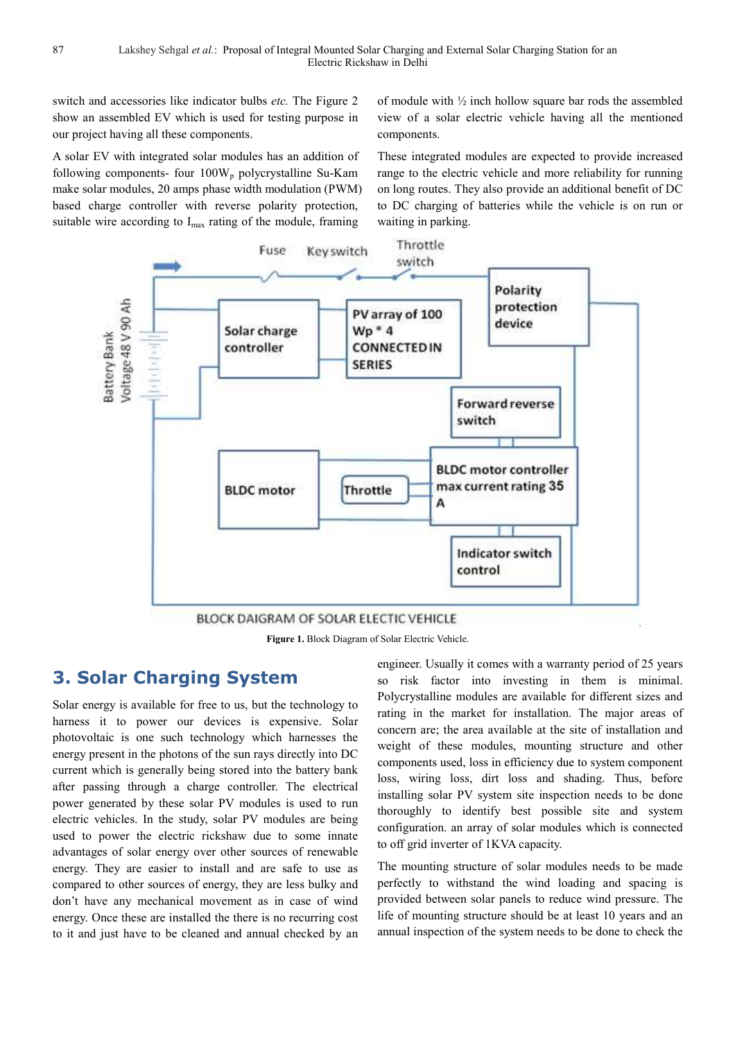switch and accessories like indicator bulbs *etc.* The Figure 2 show an assembled EV which is used for testing purpose in our project having all these components.

A solar EV with integrated solar modules has an addition of following components- four  $100W_p$  polycrystalline Su-Kam make solar modules, 20 amps phase width modulation (PWM) based charge controller with reverse polarity protection, suitable wire according to I<sub>max</sub> rating of the module, framing

of module with ½ inch hollow square bar rods the assembled view of a solar electric vehicle having all the mentioned components.

These integrated modules are expected to provide increased range to the electric vehicle and more reliability for running on long routes. They also provide an additional benefit of DC to DC charging of batteries while the vehicle is on run or waiting in parking.



**Figure 1.** Block Diagram of Solar Electric Vehicle.

### **3. Solar Charging System**

Solar energy is available for free to us, but the technology to harness it to power our devices is expensive. Solar photovoltaic is one such technology which harnesses the energy present in the photons of the sun rays directly into DC current which is generally being stored into the battery bank after passing through a charge controller. The electrical power generated by these solar PV modules is used to run electric vehicles. In the study, solar PV modules are being used to power the electric rickshaw due to some innate advantages of solar energy over other sources of renewable energy. They are easier to install and are safe to use as compared to other sources of energy, they are less bulky and don't have any mechanical movement as in case of wind energy. Once these are installed the there is no recurring cost to it and just have to be cleaned and annual checked by an

engineer. Usually it comes with a warranty period of 25 years so risk factor into investing in them is minimal. Polycrystalline modules are available for different sizes and rating in the market for installation. The major areas of concern are; the area available at the site of installation and weight of these modules, mounting structure and other components used, loss in efficiency due to system component loss, wiring loss, dirt loss and shading. Thus, before installing solar PV system site inspection needs to be done thoroughly to identify best possible site and system configuration. an array of solar modules which is connected to off grid inverter of 1KVA capacity.

The mounting structure of solar modules needs to be made perfectly to withstand the wind loading and spacing is provided between solar panels to reduce wind pressure. The life of mounting structure should be at least 10 years and an annual inspection of the system needs to be done to check the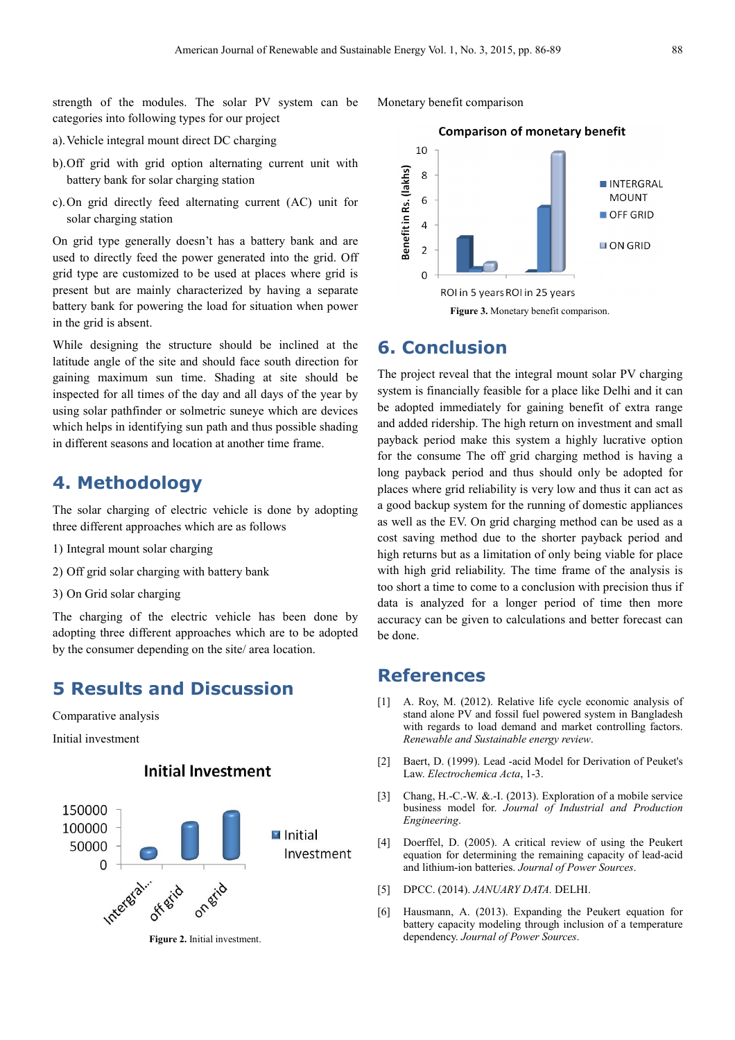strength of the modules. The solar PV system can be categories into following types for our project

- a).Vehicle integral mount direct DC charging
- b).Off grid with grid option alternating current unit with battery bank for solar charging station
- c).On grid directly feed alternating current (AC) unit for solar charging station

On grid type generally doesn't has a battery bank and are used to directly feed the power generated into the grid. Off grid type are customized to be used at places where grid is present but are mainly characterized by having a separate battery bank for powering the load for situation when power in the grid is absent.

While designing the structure should be inclined at the latitude angle of the site and should face south direction for gaining maximum sun time. Shading at site should be inspected for all times of the day and all days of the year by using solar pathfinder or solmetric suneye which are devices which helps in identifying sun path and thus possible shading in different seasons and location at another time frame.

#### **4. Methodology**

The solar charging of electric vehicle is done by adopting three different approaches which are as follows

- 1) Integral mount solar charging
- 2) Off grid solar charging with battery bank
- 3) On Grid solar charging

The charging of the electric vehicle has been done by adopting three different approaches which are to be adopted by the consumer depending on the site/ area location.

## **5 Results and Discussion**

Comparative analysis

Initial investment

#### **Initial Investment**



**Figure 2.** Initial investment.



#### **6. Conclusion**

The project reveal that the integral mount solar PV charging system is financially feasible for a place like Delhi and it can be adopted immediately for gaining benefit of extra range and added ridership. The high return on investment and small payback period make this system a highly lucrative option for the consume The off grid charging method is having a long payback period and thus should only be adopted for places where grid reliability is very low and thus it can act as a good backup system for the running of domestic appliances as well as the EV. On grid charging method can be used as a cost saving method due to the shorter payback period and high returns but as a limitation of only being viable for place with high grid reliability. The time frame of the analysis is too short a time to come to a conclusion with precision thus if data is analyzed for a longer period of time then more accuracy can be given to calculations and better forecast can be done.

## **References**

- [1] A. Roy, M. (2012). Relative life cycle economic analysis of stand alone PV and fossil fuel powered system in Bangladesh with regards to load demand and market controlling factors. *Renewable and Sustainable energy review*.
- [2] Baert, D. (1999). Lead -acid Model for Derivation of Peuket's Law. *Electrochemica Acta*, 1-3.
- [3] Chang, H.-C.-W. &.-I. (2013). Exploration of a mobile service business model for. *Journal of Industrial and Production Engineering*.
- [4] Doerffel, D. (2005). A critical review of using the Peukert equation for determining the remaining capacity of lead-acid and lithium-ion batteries. *Journal of Power Sources*.
- [5] DPCC. (2014). *JANUARY DATA.* DELHI.
- [6] Hausmann, A. (2013). Expanding the Peukert equation for battery capacity modeling through inclusion of a temperature dependency. *Journal of Power Sources*.

Monetary benefit comparison